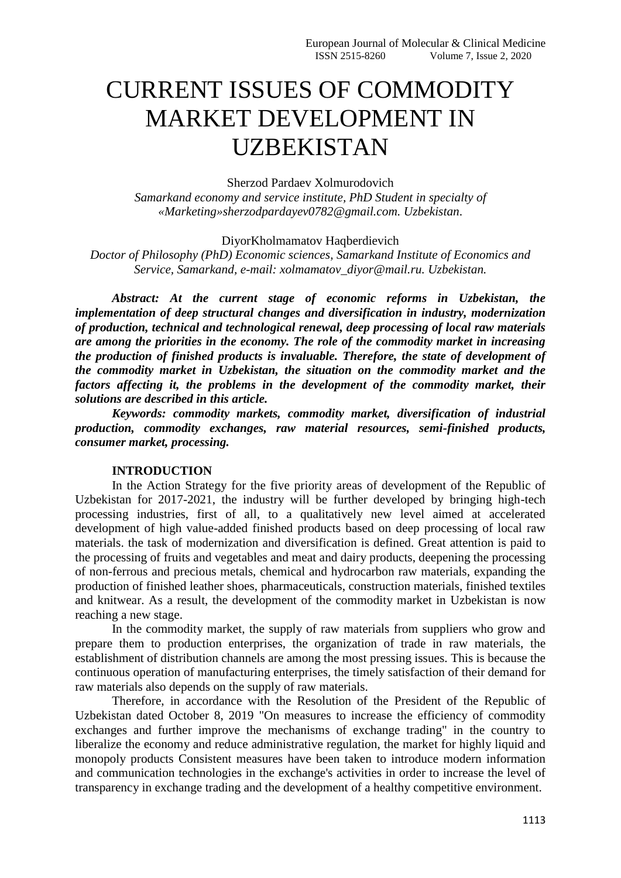# CURRENT ISSUES OF COMMODITY MARKET DEVELOPMENT IN UZBEKISTAN

Sherzod Pardaev Xolmurodovich *Samarkand economy and service institute, PhD Student in specialty of «Marketing»sherzodpardayev0782@gmail.com. Uzbekistan*.

DiyorKholmamatov Haqberdievich

*Doctor of Philosophy (PhD) Economic sciences, Samarkand Institute of Economics and Service, Samarkand, e-mail: xolmamatov\_diyor@mail.ru. Uzbekistan.*

*Abstract: At the current stage of economic reforms in Uzbekistan, the implementation of deep structural changes and diversification in industry, modernization of production, technical and technological renewal, deep processing of local raw materials are among the priorities in the economy. The role of the commodity market in increasing the production of finished products is invaluable. Therefore, the state of development of the commodity market in Uzbekistan, the situation on the commodity market and the factors affecting it, the problems in the development of the commodity market, their solutions are described in this article.*

*Keywords: commodity markets, commodity market, diversification of industrial production, commodity exchanges, raw material resources, semi-finished products, consumer market, processing.*

#### **INTRODUCTION**

In the Action Strategy for the five priority areas of development of the Republic of Uzbekistan for 2017-2021, the industry will be further developed by bringing high-tech processing industries, first of all, to a qualitatively new level aimed at accelerated development of high value-added finished products based on deep processing of local raw materials. the task of modernization and diversification is defined. Great attention is paid to the processing of fruits and vegetables and meat and dairy products, deepening the processing of non-ferrous and precious metals, chemical and hydrocarbon raw materials, expanding the production of finished leather shoes, pharmaceuticals, construction materials, finished textiles and knitwear. As a result, the development of the commodity market in Uzbekistan is now reaching a new stage.

In the commodity market, the supply of raw materials from suppliers who grow and prepare them to production enterprises, the organization of trade in raw materials, the establishment of distribution channels are among the most pressing issues. This is because the continuous operation of manufacturing enterprises, the timely satisfaction of their demand for raw materials also depends on the supply of raw materials.

Therefore, in accordance with the Resolution of the President of the Republic of Uzbekistan dated October 8, 2019 "On measures to increase the efficiency of commodity exchanges and further improve the mechanisms of exchange trading" in the country to liberalize the economy and reduce administrative regulation, the market for highly liquid and monopoly products Consistent measures have been taken to introduce modern information and communication technologies in the exchange's activities in order to increase the level of transparency in exchange trading and the development of a healthy competitive environment.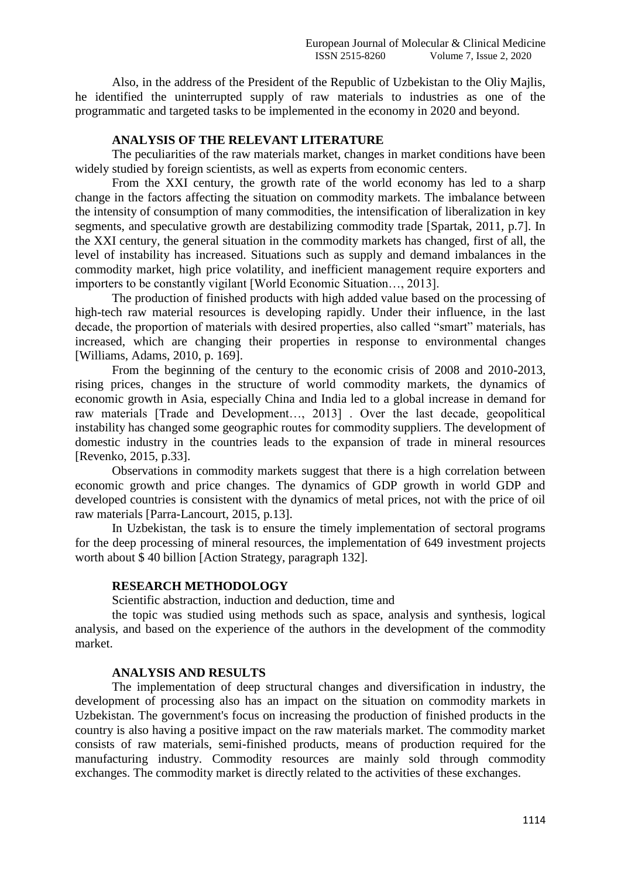Also, in the address of the President of the Republic of Uzbekistan to the Oliy Majlis, he identified the uninterrupted supply of raw materials to industries as one of the programmatic and targeted tasks to be implemented in the economy in 2020 and beyond.

## **ANALYSIS OF THE RELEVANT LITERATURE**

The peculiarities of the raw materials market, changes in market conditions have been widely studied by foreign scientists, as well as experts from economic centers.

From the XXI century, the growth rate of the world economy has led to a sharp change in the factors affecting the situation on commodity markets. The imbalance between the intensity of consumption of many commodities, the intensification of liberalization in key segments, and speculative growth are destabilizing commodity trade [Spartak, 2011, p.7]. In the XXI century, the general situation in the commodity markets has changed, first of all, the level of instability has increased. Situations such as supply and demand imbalances in the commodity market, high price volatility, and inefficient management require exporters and importers to be constantly vigilant [World Economic Situation…, 2013].

The production of finished products with high added value based on the processing of high-tech raw material resources is developing rapidly. Under their influence, in the last decade, the proportion of materials with desired properties, also called "smart" materials, has increased, which are changing their properties in response to environmental changes [Williams, Adams, 2010, p. 169].

From the beginning of the century to the economic crisis of 2008 and 2010-2013, rising prices, changes in the structure of world commodity markets, the dynamics of economic growth in Asia, especially China and India led to a global increase in demand for raw materials [Trade and Development…, 2013] . Over the last decade, geopolitical instability has changed some geographic routes for commodity suppliers. The development of domestic industry in the countries leads to the expansion of trade in mineral resources [Revenko, 2015, p.33].

Observations in commodity markets suggest that there is a high correlation between economic growth and price changes. The dynamics of GDP growth in world GDP and developed countries is consistent with the dynamics of metal prices, not with the price of oil raw materials [Parra-Lancourt, 2015, p.13].

In Uzbekistan, the task is to ensure the timely implementation of sectoral programs for the deep processing of mineral resources, the implementation of 649 investment projects worth about \$ 40 billion [Action Strategy, paragraph 132].

#### **RESEARCH METHODOLOGY**

Scientific abstraction, induction and deduction, time and

the topic was studied using methods such as space, analysis and synthesis, logical analysis, and based on the experience of the authors in the development of the commodity market.

### **ANALYSIS AND RESULTS**

The implementation of deep structural changes and diversification in industry, the development of processing also has an impact on the situation on commodity markets in Uzbekistan. The government's focus on increasing the production of finished products in the country is also having a positive impact on the raw materials market. The commodity market consists of raw materials, semi-finished products, means of production required for the manufacturing industry. Commodity resources are mainly sold through commodity exchanges. The commodity market is directly related to the activities of these exchanges.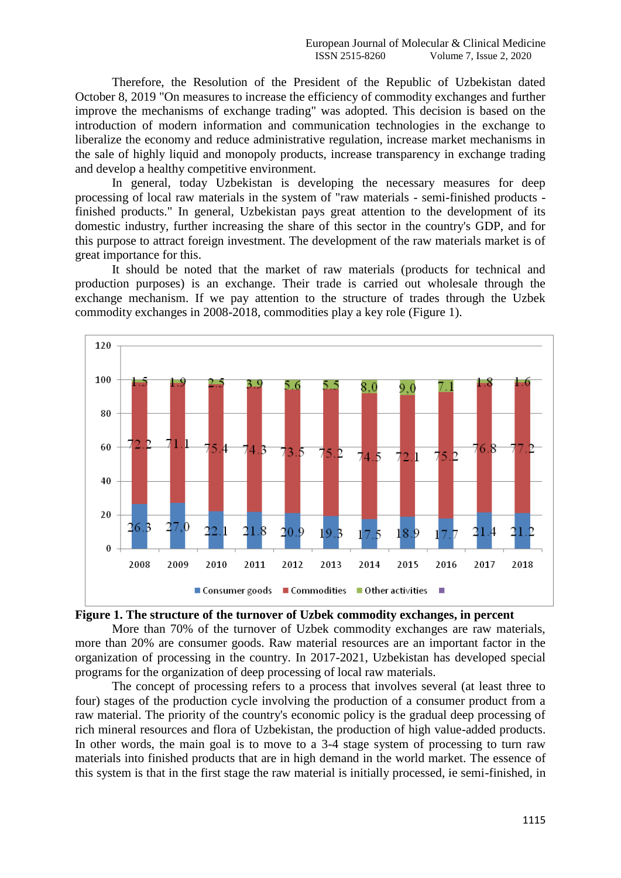Therefore, the Resolution of the President of the Republic of Uzbekistan dated October 8, 2019 "On measures to increase the efficiency of commodity exchanges and further improve the mechanisms of exchange trading" was adopted. This decision is based on the introduction of modern information and communication technologies in the exchange to liberalize the economy and reduce administrative regulation, increase market mechanisms in the sale of highly liquid and monopoly products, increase transparency in exchange trading and develop a healthy competitive environment.

In general, today Uzbekistan is developing the necessary measures for deep processing of local raw materials in the system of "raw materials - semi-finished products finished products." In general, Uzbekistan pays great attention to the development of its domestic industry, further increasing the share of this sector in the country's GDP, and for this purpose to attract foreign investment. The development of the raw materials market is of great importance for this.

It should be noted that the market of raw materials (products for technical and production purposes) is an exchange. Their trade is carried out wholesale through the exchange mechanism. If we pay attention to the structure of trades through the Uzbek commodity exchanges in 2008-2018, commodities play a key role (Figure 1).





More than 70% of the turnover of Uzbek commodity exchanges are raw materials, more than 20% are consumer goods. Raw material resources are an important factor in the organization of processing in the country. In 2017-2021, Uzbekistan has developed special programs for the organization of deep processing of local raw materials.

The concept of processing refers to a process that involves several (at least three to four) stages of the production cycle involving the production of a consumer product from a raw material. The priority of the country's economic policy is the gradual deep processing of rich mineral resources and flora of Uzbekistan, the production of high value-added products. In other words, the main goal is to move to a 3-4 stage system of processing to turn raw materials into finished products that are in high demand in the world market. The essence of this system is that in the first stage the raw material is initially processed, ie semi-finished, in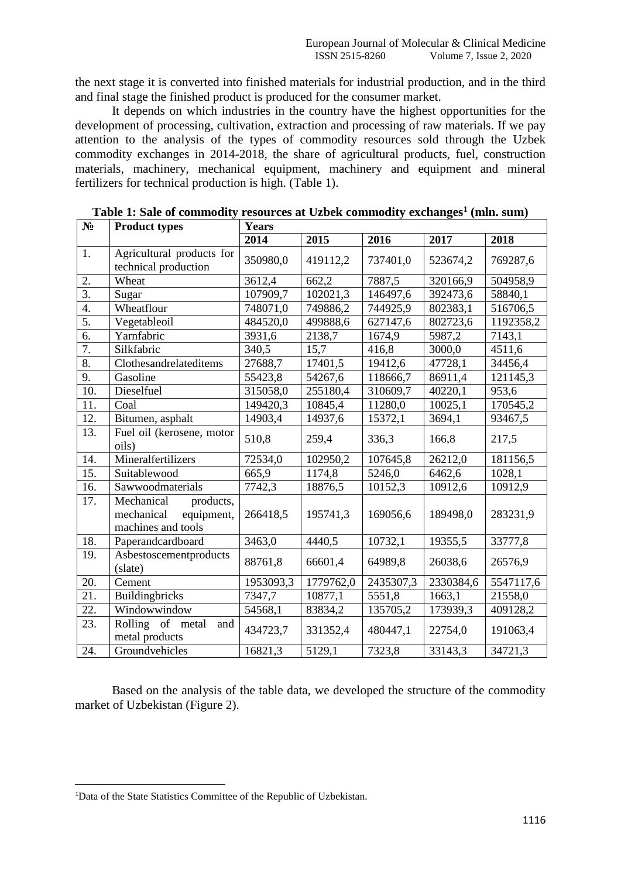the next stage it is converted into finished materials for industrial production, and in the third and final stage the finished product is produced for the consumer market.

It depends on which industries in the country have the highest opportunities for the development of processing, cultivation, extraction and processing of raw materials. If we pay attention to the analysis of the types of commodity resources sold through the Uzbek commodity exchanges in 2014-2018, the share of agricultural products, fuel, construction materials, machinery, mechanical equipment, machinery and equipment and mineral fertilizers for technical production is high. (Table 1).

| $N_2$             | <b>Product types</b><br><b>Years</b>                                      |           |           |           |           |           |
|-------------------|---------------------------------------------------------------------------|-----------|-----------|-----------|-----------|-----------|
|                   |                                                                           | 2014      | 2015      | 2016      | 2017      | 2018      |
| 1.                | Agricultural products for                                                 | 350980,0  | 419112,2  | 737401,0  | 523674,2  | 769287,6  |
|                   | technical production                                                      |           |           |           |           |           |
| 2.                | Wheat                                                                     | 3612,4    | 662,2     | 7887,5    | 320166,9  | 504958,9  |
| $\overline{3}$ .  | Sugar                                                                     | 107909,7  | 102021,3  | 146497,6  | 392473,6  | 58840,1   |
| 4.                | Wheatflour                                                                | 748071,0  | 749886,2  | 744925,9  | 802383,1  | 516706,5  |
| $\overline{5}$ .  | Vegetableoil                                                              | 484520,0  | 499888,6  | 627147,6  | 802723,6  | 1192358,2 |
| $\overline{6}$ .  | Yarnfabric                                                                | 3931,6    | 2138,7    | 1674,9    | 5987,2    | 7143,1    |
| 7.                | Silkfabric                                                                | 340,5     | 15,7      | 416,8     | 3000,0    | 4511,6    |
| $\overline{8}$ .  | Clothesandrelateditems                                                    | 27688,7   | 17401,5   | 19412,6   | 47728,1   | 34456,4   |
| 9.                | Gasoline                                                                  | 55423,8   | 54267,6   | 118666,7  | 86911,4   | 121145,3  |
| $\overline{10}$ . | Dieselfuel                                                                | 315058,0  | 255180,4  | 310609,7  | 40220,1   | 953,6     |
| 11.               | Coal                                                                      | 149420,3  | 10845,4   | 11280,0   | 10025,1   | 170545,2  |
| 12.               | Bitumen, asphalt                                                          | 14903,4   | 14937,6   | 15372,1   | 3694,1    | 93467,5   |
| 13.               | Fuel oil (kerosene, motor<br>oils)                                        | 510,8     | 259,4     | 336,3     | 166,8     | 217,5     |
| 14.               | Mineralfertilizers                                                        | 72534,0   | 102950,2  | 107645,8  | 26212,0   | 181156,5  |
| 15.               | Suitablewood                                                              | 665,9     | 1174,8    | 5246,0    | 6462,6    | 1028,1    |
| 16.               | Sawwoodmaterials                                                          | 7742,3    | 18876,5   | 10152,3   | 10912,6   | 10912,9   |
| 17.               | Mechanical<br>products,<br>mechanical<br>equipment,<br>machines and tools | 266418,5  | 195741,3  | 169056,6  | 189498,0  | 283231,9  |
| 18.               | Paperandcardboard                                                         | 3463,0    | 4440,5    | 10732,1   | 19355,5   | 33777,8   |
| 19.               | Asbestoscementproducts<br>(slate)                                         | 88761,8   | 66601,4   | 64989,8   | 26038,6   | 26576,9   |
| 20.               | Cement                                                                    | 1953093,3 | 1779762,0 | 2435307,3 | 2330384,6 | 5547117,6 |
| 21.               | Buildingbricks                                                            | 7347,7    | 10877,1   | 5551,8    | 1663,1    | 21558,0   |
| 22.               | Windowwindow                                                              | 54568,1   | 83834,2   | 135705,2  | 173939,3  | 409128,2  |
| 23.               | Rolling of metal<br>and<br>metal products                                 | 434723,7  | 331352,4  | 480447,1  | 22754,0   | 191063,4  |
| 24.               | Groundvehicles                                                            | 16821,3   | 5129,1    | 7323,8    | 33143,3   | 34721,3   |

**Table 1: Sale of commodity resources at Uzbek commodity exchanges<sup>1</sup> (mln. sum)**

Based on the analysis of the table data, we developed the structure of the commodity market of Uzbekistan (Figure 2).

**.** 

<sup>1</sup>Data of the State Statistics Committee of the Republic of Uzbekistan.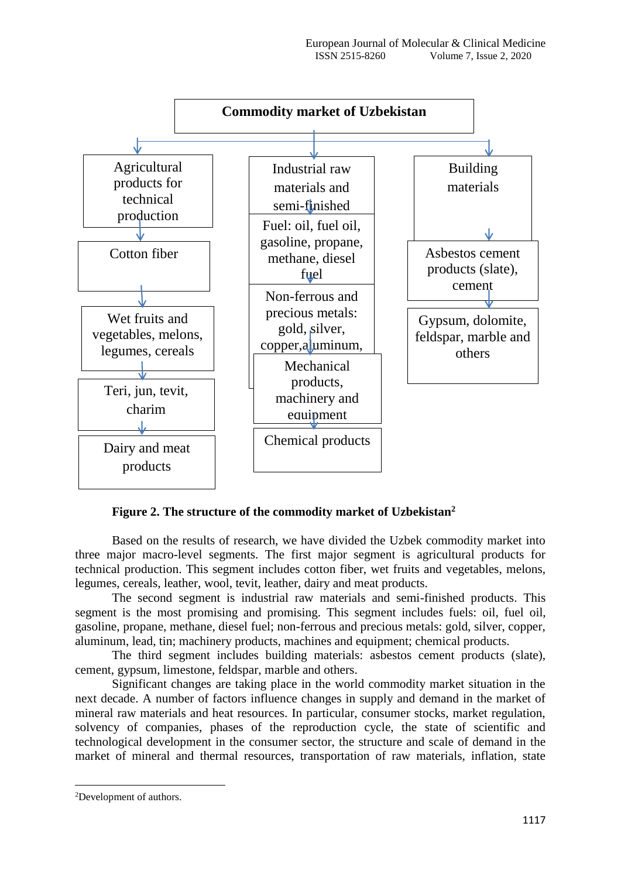

**Figure 2. The structure of the commodity market of Uzbekistan<sup>2</sup>**

Based on the results of research, we have divided the Uzbek commodity market into three major macro-level segments. The first major segment is agricultural products for technical production. This segment includes cotton fiber, wet fruits and vegetables, melons, legumes, cereals, leather, wool, tevit, leather, dairy and meat products.

The second segment is industrial raw materials and semi-finished products. This segment is the most promising and promising. This segment includes fuels: oil, fuel oil, gasoline, propane, methane, diesel fuel; non-ferrous and precious metals: gold, silver, copper, aluminum, lead, tin; machinery products, machines and equipment; chemical products.

The third segment includes building materials: asbestos cement products (slate), cement, gypsum, limestone, feldspar, marble and others.

Significant changes are taking place in the world commodity market situation in the next decade. A number of factors influence changes in supply and demand in the market of mineral raw materials and heat resources. In particular, consumer stocks, market regulation, solvency of companies, phases of the reproduction cycle, the state of scientific and technological development in the consumer sector, the structure and scale of demand in the market of mineral and thermal resources, transportation of raw materials, inflation, state

**.** 

<sup>2</sup>Development of authors.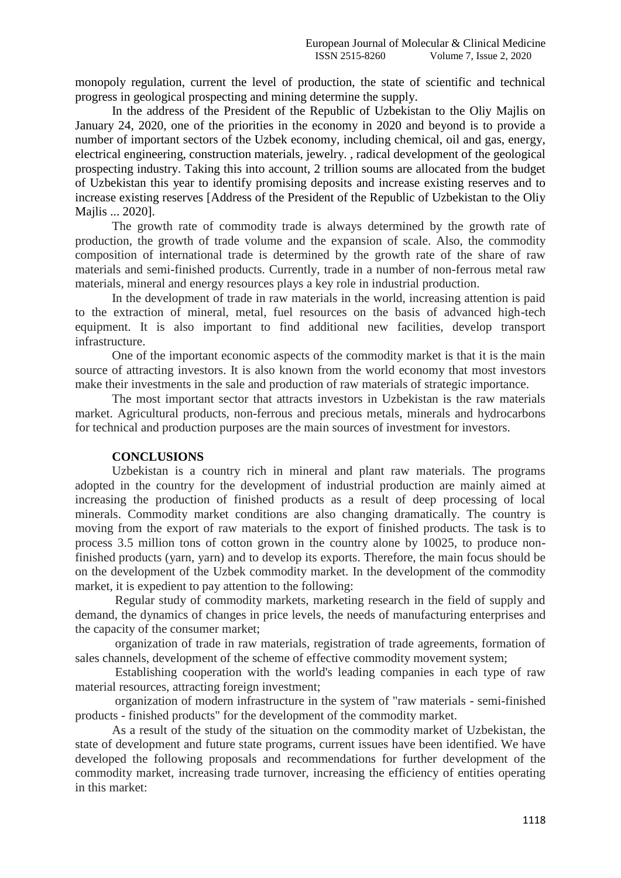monopoly regulation, current the level of production, the state of scientific and technical progress in geological prospecting and mining determine the supply.

In the address of the President of the Republic of Uzbekistan to the Oliy Majlis on January 24, 2020, one of the priorities in the economy in 2020 and beyond is to provide a number of important sectors of the Uzbek economy, including chemical, oil and gas, energy, electrical engineering, construction materials, jewelry. , radical development of the geological prospecting industry. Taking this into account, 2 trillion soums are allocated from the budget of Uzbekistan this year to identify promising deposits and increase existing reserves and to increase existing reserves [Address of the President of the Republic of Uzbekistan to the Oliy Majlis ... 2020].

The growth rate of commodity trade is always determined by the growth rate of production, the growth of trade volume and the expansion of scale. Also, the commodity composition of international trade is determined by the growth rate of the share of raw materials and semi-finished products. Currently, trade in a number of non-ferrous metal raw materials, mineral and energy resources plays a key role in industrial production.

In the development of trade in raw materials in the world, increasing attention is paid to the extraction of mineral, metal, fuel resources on the basis of advanced high-tech equipment. It is also important to find additional new facilities, develop transport infrastructure.

One of the important economic aspects of the commodity market is that it is the main source of attracting investors. It is also known from the world economy that most investors make their investments in the sale and production of raw materials of strategic importance.

The most important sector that attracts investors in Uzbekistan is the raw materials market. Agricultural products, non-ferrous and precious metals, minerals and hydrocarbons for technical and production purposes are the main sources of investment for investors.

## **CONCLUSIONS**

Uzbekistan is a country rich in mineral and plant raw materials. The programs adopted in the country for the development of industrial production are mainly aimed at increasing the production of finished products as a result of deep processing of local minerals. Commodity market conditions are also changing dramatically. The country is moving from the export of raw materials to the export of finished products. The task is to process 3.5 million tons of cotton grown in the country alone by 10025, to produce nonfinished products (yarn, yarn) and to develop its exports. Therefore, the main focus should be on the development of the Uzbek commodity market. In the development of the commodity market, it is expedient to pay attention to the following:

Regular study of commodity markets, marketing research in the field of supply and demand, the dynamics of changes in price levels, the needs of manufacturing enterprises and the capacity of the consumer market;

organization of trade in raw materials, registration of trade agreements, formation of sales channels, development of the scheme of effective commodity movement system;

Establishing cooperation with the world's leading companies in each type of raw material resources, attracting foreign investment;

organization of modern infrastructure in the system of "raw materials - semi-finished products - finished products" for the development of the commodity market.

As a result of the study of the situation on the commodity market of Uzbekistan, the state of development and future state programs, current issues have been identified. We have developed the following proposals and recommendations for further development of the commodity market, increasing trade turnover, increasing the efficiency of entities operating in this market: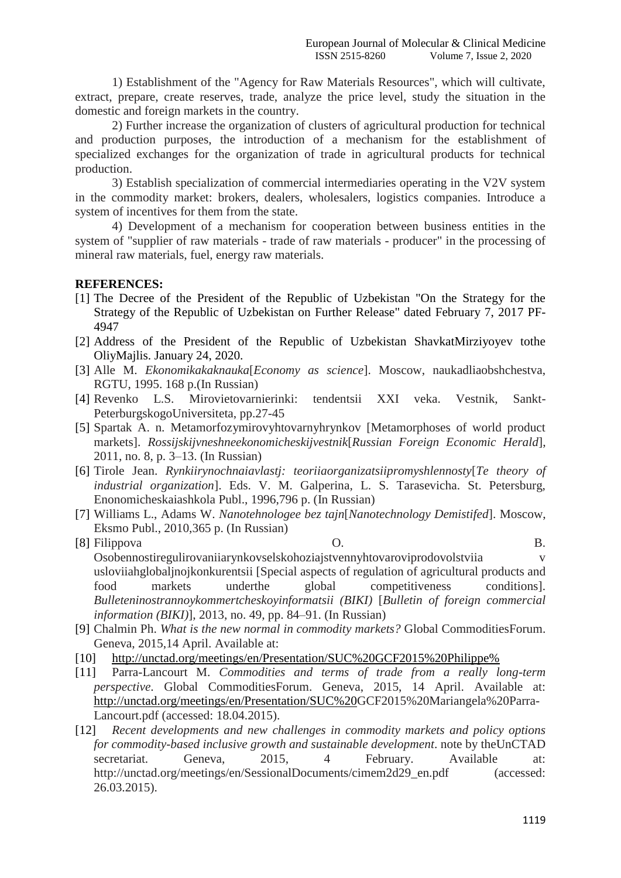1) Establishment of the "Agency for Raw Materials Resources", which will cultivate, extract, prepare, create reserves, trade, analyze the price level, study the situation in the domestic and foreign markets in the country.

2) Further increase the organization of clusters of agricultural production for technical and production purposes, the introduction of a mechanism for the establishment of specialized exchanges for the organization of trade in agricultural products for technical production.

3) Establish specialization of commercial intermediaries operating in the V2V system in the commodity market: brokers, dealers, wholesalers, logistics companies. Introduce a system of incentives for them from the state.

4) Development of a mechanism for cooperation between business entities in the system of "supplier of raw materials - trade of raw materials - producer" in the processing of mineral raw materials, fuel, energy raw materials.

# **REFERENCES:**

- [1] The Decree of the President of the Republic of Uzbekistan "On the Strategy for the Strategy of the Republic of Uzbekistan on Further Release" dated February 7, 2017 PF-4947
- [2] Address of the President of the Republic of Uzbekistan ShavkatMirziyoyev tothe OliyMajlis. January 24, 2020.
- [3] Alle M. *Ekonomikakaknauka*[*Economy as science*]. Moscow, naukadliaobshchestva, RGTU, 1995. 168 p.(In Russian)
- [4] Revenko L.S. Mirovietovarnierinki: tendentsii XXI veka. Vestnik, Sankt-PeterburgskogoUniversiteta, pp.27-45
- [5] Spartak A. n. Metamorfozymirovyhtovarnyhrynkov [Metamorphoses of world product markets]. *Rossijskijvneshneekonomicheskijvestnik*[*Russian Foreign Economic Herald*], 2011, no. 8, p. 3–13. (In Russian)
- [6] Tirole Jean. *Rynkiirynochnaiavlastj: teoriiaorganizatsiipromyshlennosty*[*Te theory of industrial organization*]. Eds. V. M. Galperina, L. S. Tarasevicha. St. Petersburg, Enonomicheskaiashkola Publ., 1996,796 p. (In Russian)
- [7] Williams L., Adams W. *Nanotehnologee bez tajn*[*Nanotechnology Demistifed*]. Moscow, Eksmo Publ., 2010,365 p. (In Russian)
- [8] Filippova B. Osobennostiregulirovaniiarynkovselskohoziajstvennyhtovaroviprodovolstviia v usloviiahglobaljnojkonkurentsii [Special aspects of regulation of agricultural products and food markets underthe global competitiveness conditions]. *Bulleteninostrannoykommertcheskoyinformatsii (BIKI)* [*Bulletin of foreign commercial information (BIKI)*], 2013, no. 49, pp. 84–91. (In Russian)
- [9] Chalmin Ph. *What is the new normal in commodity markets?* Global CommoditiesForum. Geneva, 2015,14 April. Available at:
- [10] [http://unctad.org/meetings/en/Presentation/SUC%20GCF2015%20Philippe%](http://unctad.org/meetings/en/Presentation/SUC%20GCF2015%20Philippe%25)
- [11] Parra-Lancourt M. *Commodities and terms of trade from a really long-term perspective*. Global CommoditiesForum. Geneva, 2015, 14 April. Available at: [http://unctad.org/meetings/en/Presentation/SUC%20G](http://unctad.org/meetings/en/Presentation/SUC)CF2015%20Mariangela%20Parra-Lancourt.pdf (accessed: 18.04.2015).
- [12] *Recent developments and new challenges in commodity markets and policy options for commodity-based inclusive growth and sustainable development*. note by theUnCTAD secretariat. Geneva, 2015, 4 February. Available at: http://unctad.org/meetings/en/SessionalDocuments/cimem2d29\_en.pdf (accessed: 26.03.2015).